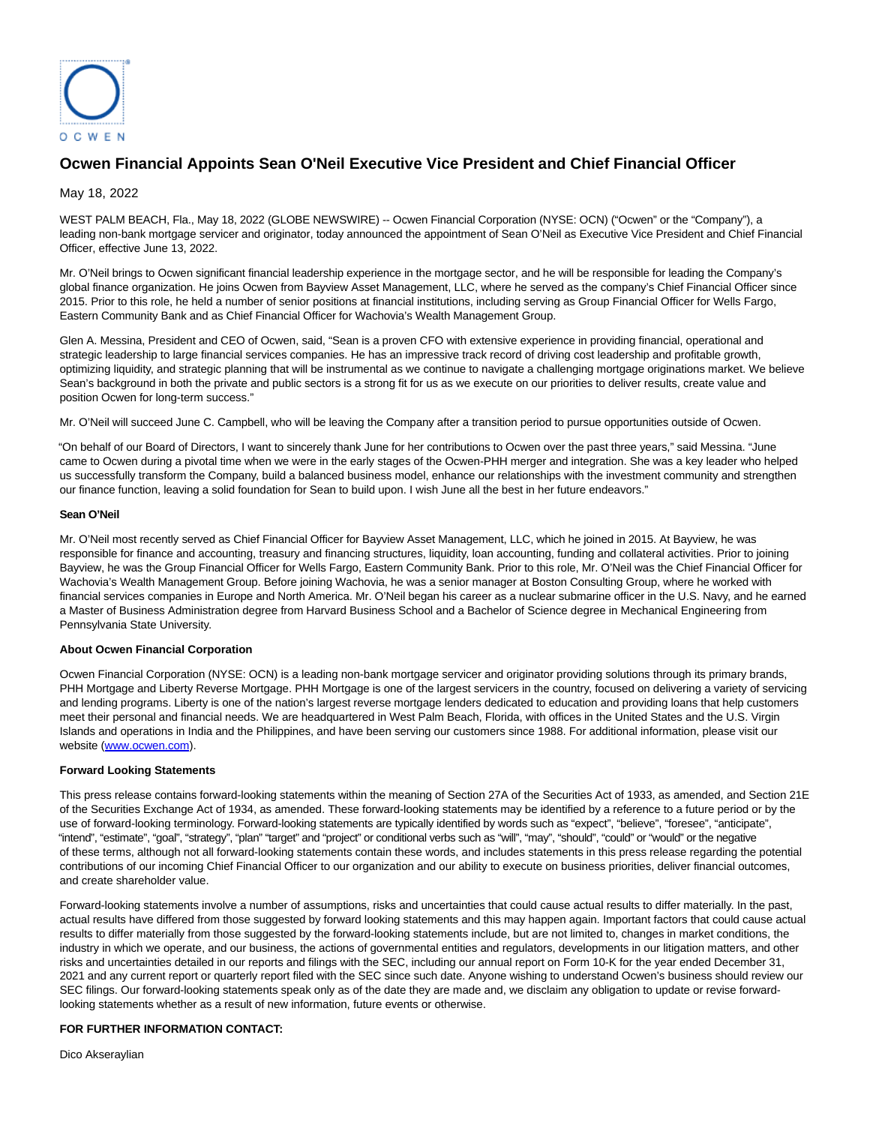

# **Ocwen Financial Appoints Sean O'Neil Executive Vice President and Chief Financial Officer**

## May 18, 2022

WEST PALM BEACH, Fla., May 18, 2022 (GLOBE NEWSWIRE) -- Ocwen Financial Corporation (NYSE: OCN) ("Ocwen" or the "Company"), a leading non-bank mortgage servicer and originator, today announced the appointment of Sean O'Neil as Executive Vice President and Chief Financial Officer, effective June 13, 2022.

Mr. O'Neil brings to Ocwen significant financial leadership experience in the mortgage sector, and he will be responsible for leading the Company's global finance organization. He joins Ocwen from Bayview Asset Management, LLC, where he served as the company's Chief Financial Officer since 2015. Prior to this role, he held a number of senior positions at financial institutions, including serving as Group Financial Officer for Wells Fargo, Eastern Community Bank and as Chief Financial Officer for Wachovia's Wealth Management Group.

Glen A. Messina, President and CEO of Ocwen, said, "Sean is a proven CFO with extensive experience in providing financial, operational and strategic leadership to large financial services companies. He has an impressive track record of driving cost leadership and profitable growth, optimizing liquidity, and strategic planning that will be instrumental as we continue to navigate a challenging mortgage originations market. We believe Sean's background in both the private and public sectors is a strong fit for us as we execute on our priorities to deliver results, create value and position Ocwen for long-term success."

Mr. O'Neil will succeed June C. Campbell, who will be leaving the Company after a transition period to pursue opportunities outside of Ocwen.

"On behalf of our Board of Directors, I want to sincerely thank June for her contributions to Ocwen over the past three years," said Messina. "June came to Ocwen during a pivotal time when we were in the early stages of the Ocwen-PHH merger and integration. She was a key leader who helped us successfully transform the Company, build a balanced business model, enhance our relationships with the investment community and strengthen our finance function, leaving a solid foundation for Sean to build upon. I wish June all the best in her future endeavors."

### **Sean O'Neil**

Mr. O'Neil most recently served as Chief Financial Officer for Bayview Asset Management, LLC, which he joined in 2015. At Bayview, he was responsible for finance and accounting, treasury and financing structures, liquidity, loan accounting, funding and collateral activities. Prior to joining Bayview, he was the Group Financial Officer for Wells Fargo, Eastern Community Bank. Prior to this role, Mr. O'Neil was the Chief Financial Officer for Wachovia's Wealth Management Group. Before joining Wachovia, he was a senior manager at Boston Consulting Group, where he worked with financial services companies in Europe and North America. Mr. O'Neil began his career as a nuclear submarine officer in the U.S. Navy, and he earned a Master of Business Administration degree from Harvard Business School and a Bachelor of Science degree in Mechanical Engineering from Pennsylvania State University.

## **About Ocwen Financial Corporation**

Ocwen Financial Corporation (NYSE: OCN) is a leading non-bank mortgage servicer and originator providing solutions through its primary brands, PHH Mortgage and Liberty Reverse Mortgage. PHH Mortgage is one of the largest servicers in the country, focused on delivering a variety of servicing and lending programs. Liberty is one of the nation's largest reverse mortgage lenders dedicated to education and providing loans that help customers meet their personal and financial needs. We are headquartered in West Palm Beach, Florida, with offices in the United States and the U.S. Virgin Islands and operations in India and the Philippines, and have been serving our customers since 1988. For additional information, please visit our website [\(www.ocwen.com\)](https://www.globenewswire.com/Tracker?data=uD-tKn24TtVI5S5tM1evrYpgDrWKNinK1M81GK9Pq6viL6wQjbx2Ovhwb54cncHRRSwMnjhyn8C4TwjpA6QZkg==).

## **Forward Looking Statements**

This press release contains forward-looking statements within the meaning of Section 27A of the Securities Act of 1933, as amended, and Section 21E of the Securities Exchange Act of 1934, as amended. These forward-looking statements may be identified by a reference to a future period or by the use of forward-looking terminology. Forward-looking statements are typically identified by words such as "expect", "believe", "foresee", "anticipate", "intend", "estimate", "goal", "strategy", "plan" "target" and "project" or conditional verbs such as "will", "may", "should", "could" or "would" or the negative of these terms, although not all forward-looking statements contain these words, and includes statements in this press release regarding the potential contributions of our incoming Chief Financial Officer to our organization and our ability to execute on business priorities, deliver financial outcomes, and create shareholder value.

Forward-looking statements involve a number of assumptions, risks and uncertainties that could cause actual results to differ materially. In the past, actual results have differed from those suggested by forward looking statements and this may happen again. Important factors that could cause actual results to differ materially from those suggested by the forward-looking statements include, but are not limited to, changes in market conditions, the industry in which we operate, and our business, the actions of governmental entities and regulators, developments in our litigation matters, and other risks and uncertainties detailed in our reports and filings with the SEC, including our annual report on Form 10-K for the year ended December 31, 2021 and any current report or quarterly report filed with the SEC since such date. Anyone wishing to understand Ocwen's business should review our SEC filings. Our forward-looking statements speak only as of the date they are made and, we disclaim any obligation to update or revise forwardlooking statements whether as a result of new information, future events or otherwise.

## **FOR FURTHER INFORMATION CONTACT:**

Dico Akseraylian